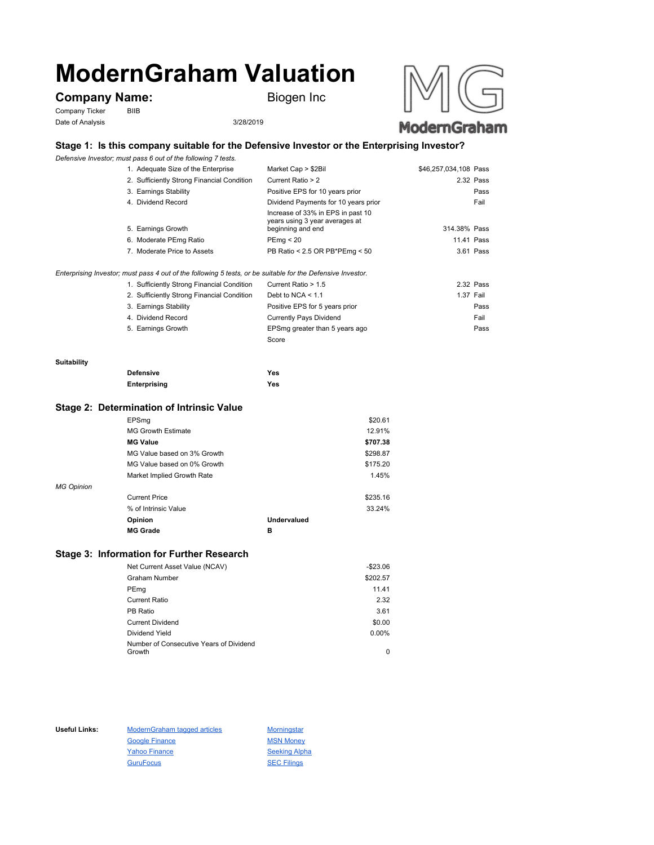# **ModernGraham Valuation**

# **Company Name:** Biogen Inc

Company Ticker BIIB Date of Analysis 3/28/2019



# **Stage 1: Is this company suitable for the Defensive Investor or the Enterprising Investor?**

*Defensive Investor; must pass 6 out of the following 7 tests.*

| 1. Adequate Size of the Enterprise         | Market Cap > \$2Bil                                                                      | \$46,257,034,108 Pass |
|--------------------------------------------|------------------------------------------------------------------------------------------|-----------------------|
| 2. Sufficiently Strong Financial Condition | Current Ratio > 2                                                                        | 2.32 Pass             |
| 3. Earnings Stability                      | Positive EPS for 10 years prior                                                          | Pass                  |
| 4. Dividend Record                         | Dividend Payments for 10 years prior                                                     | Fail                  |
| 5. Earnings Growth                         | Increase of 33% in EPS in past 10<br>years using 3 year averages at<br>beginning and end | 314.38% Pass          |
| 6. Moderate PEmg Ratio                     | PEmg < 20                                                                                | 11.41 Pass            |
| 7. Moderate Price to Assets                | PB Ratio < 2.5 OR PB*PEmg < 50                                                           | 3.61 Pass             |
|                                            |                                                                                          |                       |

### *Enterprising Investor; must pass 4 out of the following 5 tests, or be suitable for the Defensive Investor.*

| 1. Sufficiently Strong Financial Condition | Current Ratio > 1.5            | 2.32 Pass |
|--------------------------------------------|--------------------------------|-----------|
| 2. Sufficiently Strong Financial Condition | Debt to NCA $<$ 1.1            | 1.37 Fail |
| 3. Earnings Stability                      | Positive EPS for 5 years prior | Pass      |
| 4. Dividend Record                         | <b>Currently Pays Dividend</b> | Fail      |
| 5. Earnings Growth                         | EPSmg greater than 5 years ago | Pass      |
|                                            | Score                          |           |

#### **Suitability**

| <b>Defensive</b> | Yes |
|------------------|-----|
| Enterprising     | Yes |

## **Stage 2: Determination of Intrinsic Value**

|                   | EPSmg                       |                    | \$20.61  |
|-------------------|-----------------------------|--------------------|----------|
|                   | <b>MG Growth Estimate</b>   |                    | 12.91%   |
|                   | <b>MG Value</b>             |                    | \$707.38 |
|                   | MG Value based on 3% Growth |                    | \$298.87 |
|                   | MG Value based on 0% Growth |                    | \$175.20 |
|                   | Market Implied Growth Rate  |                    | 1.45%    |
| <b>MG Opinion</b> |                             |                    |          |
|                   | <b>Current Price</b>        |                    | \$235.16 |
|                   | % of Intrinsic Value        |                    | 33.24%   |
|                   | Opinion                     | <b>Undervalued</b> |          |
|                   | <b>MG Grade</b>             | в                  |          |
|                   |                             |                    |          |

## **Stage 3: Information for Further Research**

| Net Current Asset Value (NCAV)          | $-$23.06$ |
|-----------------------------------------|-----------|
| Graham Number                           | \$202.57  |
| PEmg                                    | 11.41     |
| Current Ratio                           | 2.32      |
| PB Ratio                                | 3.61      |
| <b>Current Dividend</b>                 | \$0.00    |
| Dividend Yield                          | $0.00\%$  |
| Number of Consecutive Years of Dividend |           |
| Growth                                  | 0         |

Useful Links: ModernGraham tagged articles Morningstar Google Finance MSN Money Yahoo Finance Seeking Alpha GuruFocus SEC Filings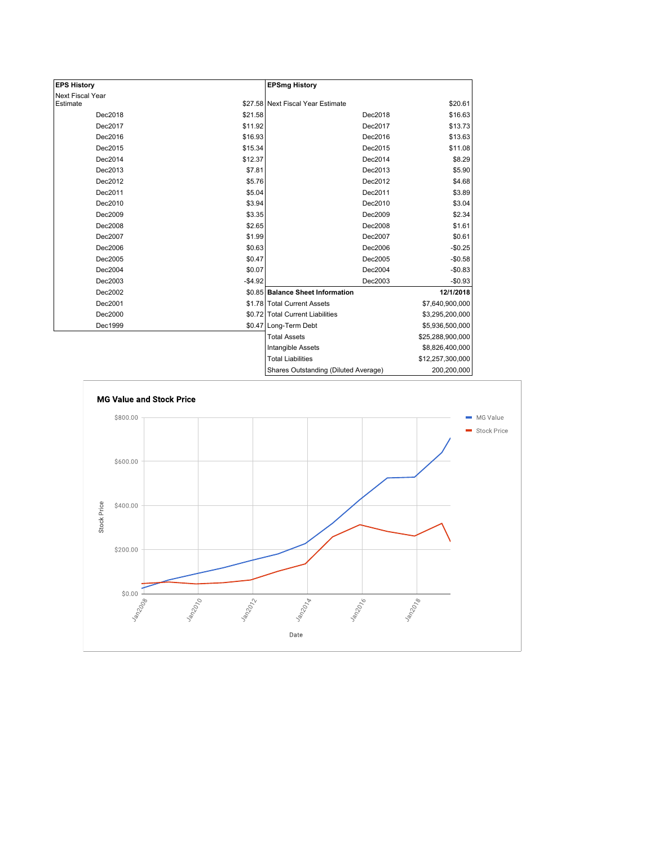| <b>EPS History</b> |          | <b>EPSmg History</b>                 |                  |
|--------------------|----------|--------------------------------------|------------------|
| Next Fiscal Year   |          |                                      |                  |
| Estimate           |          | \$27.58 Next Fiscal Year Estimate    | \$20.61          |
| Dec2018            | \$21.58  | Dec2018                              | \$16.63          |
| Dec2017            | \$11.92  | Dec2017                              | \$13.73          |
| Dec2016            | \$16.93  | Dec2016                              | \$13.63          |
| Dec2015            | \$15.34  | Dec2015                              | \$11.08          |
| Dec2014            | \$12.37  | Dec2014                              | \$8.29           |
| Dec2013            | \$7.81   | Dec2013                              | \$5.90           |
| Dec2012            | \$5.76   | Dec2012                              | \$4.68           |
| Dec2011            | \$5.04   | Dec2011                              | \$3.89           |
| Dec2010            | \$3.94   | Dec2010                              | \$3.04           |
| Dec2009            | \$3.35   | Dec2009                              | \$2.34           |
| Dec2008            | \$2.65   | Dec2008                              | \$1.61           |
| Dec2007            | \$1.99   | Dec2007                              | \$0.61           |
| Dec2006            | \$0.63   | Dec2006                              | $-$0.25$         |
| Dec2005            | \$0.47   | Dec2005                              | $-$0.58$         |
| Dec2004            | \$0.07   | Dec2004                              | $-$0.83$         |
| Dec2003            | $-$4.92$ | Dec2003                              | $-$0.93$         |
| Dec2002            |          | \$0.85 Balance Sheet Information     | 12/1/2018        |
| Dec2001            |          | \$1.78 Total Current Assets          | \$7,640,900,000  |
| Dec2000            |          | \$0.72 Total Current Liabilities     | \$3,295,200,000  |
| Dec1999            |          | \$0.47 Long-Term Debt                | \$5,936,500,000  |
|                    |          | <b>Total Assets</b>                  | \$25,288,900,000 |
|                    |          | Intangible Assets                    | \$8,826,400,000  |
|                    |          | <b>Total Liabilities</b>             | \$12,257,300,000 |
|                    |          | Sharee Outetanding (Diluted Average) | 200 200 000      |